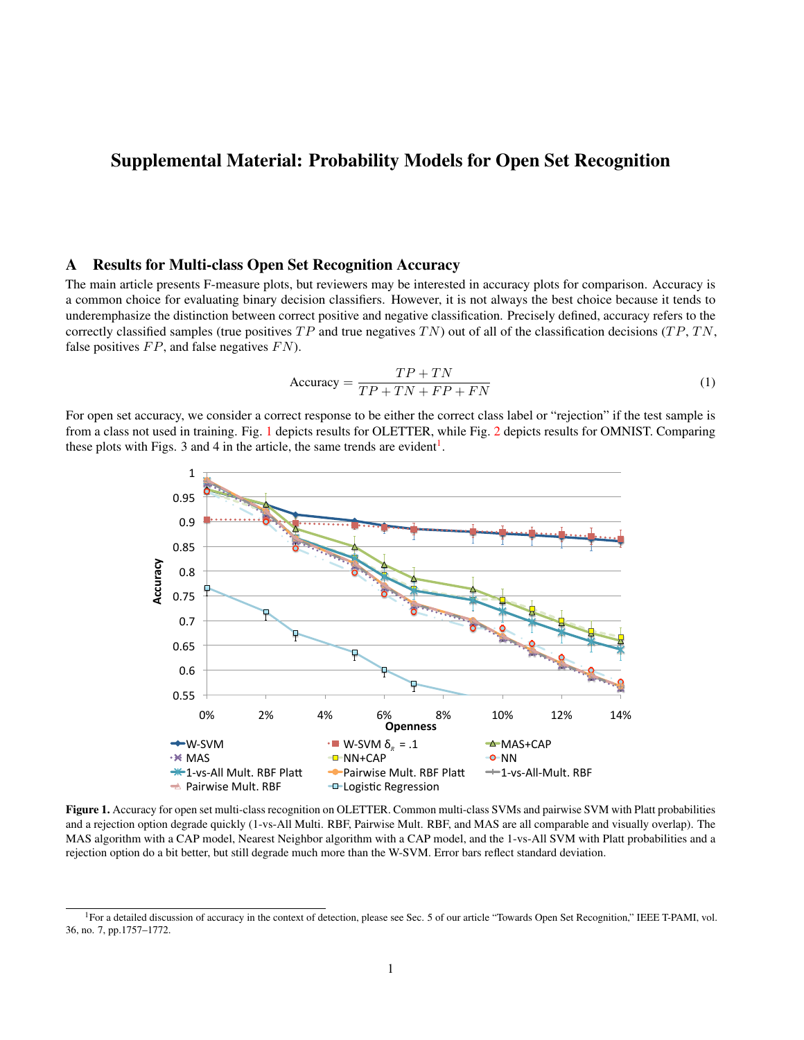# Supplemental Material: Probability Models for Open Set Recognition

## A Results for Multi-class Open Set Recognition Accuracy

The main article presents F-measure plots, but reviewers may be interested in accuracy plots for comparison. Accuracy is a common choice for evaluating binary decision classifiers. However, it is not always the best choice because it tends to underemphasize the distinction between correct positive and negative classification. Precisely defined, accuracy refers to the correctly classified samples (true positives  $TP$  and true negatives  $TN$ ) out of all of the classification decisions  $(TP, TN,$ false positives  $FP$ , and false negatives  $FN$ ).

$$
Accuracy = \frac{TP + TN}{TP + TN + FP + FN}
$$
 (1)

For open set accuracy, we consider a correct response to be either the correct class label or "rejection" if the test sample is from a class not used in training. Fig. [1](#page-0-0) depicts results for OLETTER, while Fig. [2](#page-1-0) depicts results for OMNIST. Comparing these plots with Figs. 3 and 4 in the article, the same trends are evident<sup>[1](#page-0-1)</sup>.



<span id="page-0-0"></span>Figure 1. Accuracy for open set multi-class recognition on OLETTER. Common multi-class SVMs and pairwise SVM with Platt probabilities and a rejection option degrade quickly (1-vs-All Multi. RBF, Pairwise Mult. RBF, and MAS are all comparable and visually overlap). The MAS algorithm with a CAP model, Nearest Neighbor algorithm with a CAP model, and the 1-vs-All SVM with Platt probabilities and a rejection option do a bit better, but still degrade much more than the W-SVM. Error bars reflect standard deviation.

<span id="page-0-1"></span><sup>&</sup>lt;sup>1</sup>For a detailed discussion of accuracy in the context of detection, please see Sec. 5 of our article "Towards Open Set Recognition," IEEE T-PAMI, vol. 36, no. 7, pp.1757–1772.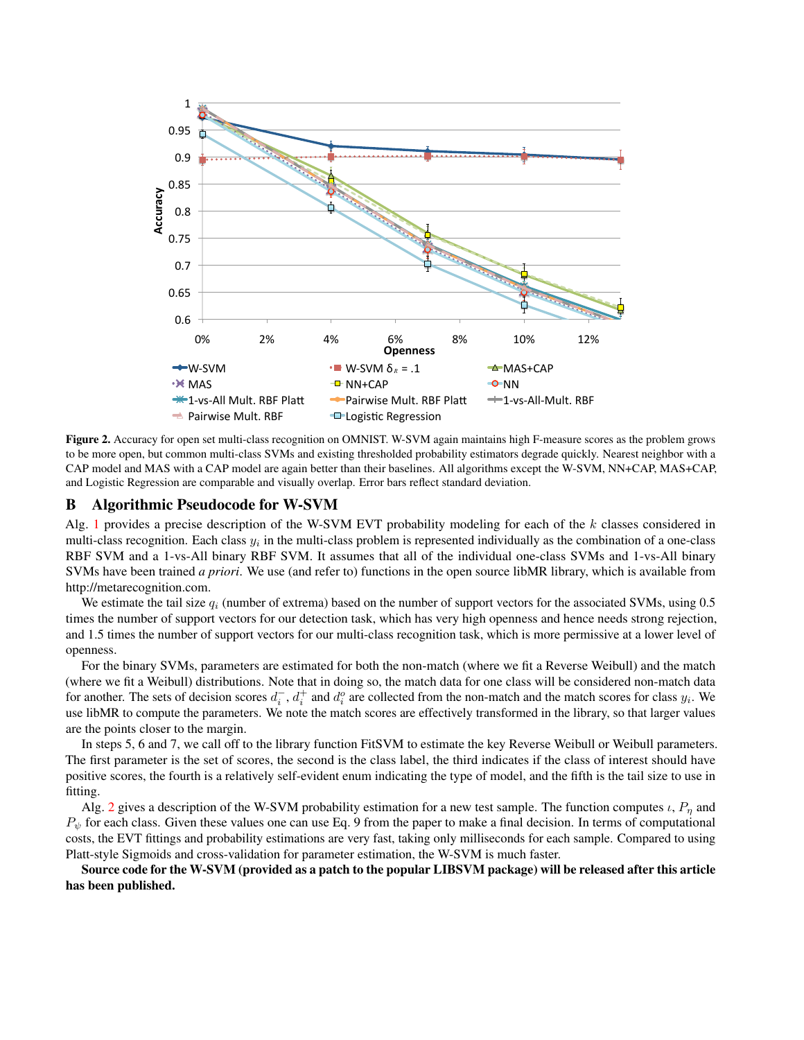

<span id="page-1-0"></span>Figure 2. Accuracy for open set multi-class recognition on OMNIST. W-SVM again maintains high F-measure scores as the problem grows to be more open, but common multi-class SVMs and existing thresholded probability estimators degrade quickly. Nearest neighbor with a CAP model and MAS with a CAP model are again better than their baselines. All algorithms except the W-SVM, NN+CAP, MAS+CAP, and Logistic Regression are comparable and visually overlap. Error bars reflect standard deviation.

## B Algorithmic Pseudocode for W-SVM

Alg. [1](#page-2-0) provides a precise description of the W-SVM EVT probability modeling for each of the k classes considered in multi-class recognition. Each class  $y_i$  in the multi-class problem is represented individually as the combination of a one-class RBF SVM and a 1-vs-All binary RBF SVM. It assumes that all of the individual one-class SVMs and 1-vs-All binary SVMs have been trained *a priori*. We use (and refer to) functions in the open source libMR library, which is available from http://metarecognition.com.

We estimate the tail size  $q_i$  (number of extrema) based on the number of support vectors for the associated SVMs, using 0.5 times the number of support vectors for our detection task, which has very high openness and hence needs strong rejection, and 1.5 times the number of support vectors for our multi-class recognition task, which is more permissive at a lower level of openness.

For the binary SVMs, parameters are estimated for both the non-match (where we fit a Reverse Weibull) and the match (where we fit a Weibull) distributions. Note that in doing so, the match data for one class will be considered non-match data for another. The sets of decision scores  $d_i^-, d_i^+$  and  $d_i^o$  are collected from the non-match and the match scores for class  $y_i$ . We use libMR to compute the parameters. We note the match scores are effectively transformed in the library, so that larger values are the points closer to the margin.

In steps 5, 6 and 7, we call off to the library function FitSVM to estimate the key Reverse Weibull or Weibull parameters. The first parameter is the set of scores, the second is the class label, the third indicates if the class of interest should have positive scores, the fourth is a relatively self-evident enum indicating the type of model, and the fifth is the tail size to use in fitting.

Alg. [2](#page-2-1) gives a description of the W-SVM probability estimation for a new test sample. The function computes  $\iota$ ,  $P_n$  and  $P_{\psi}$  for each class. Given these values one can use Eq. 9 from the paper to make a final decision. In terms of computational costs, the EVT fittings and probability estimations are very fast, taking only milliseconds for each sample. Compared to using Platt-style Sigmoids and cross-validation for parameter estimation, the W-SVM is much faster.

Source code for the W-SVM (provided as a patch to the popular LIBSVM package) will be released after this article has been published.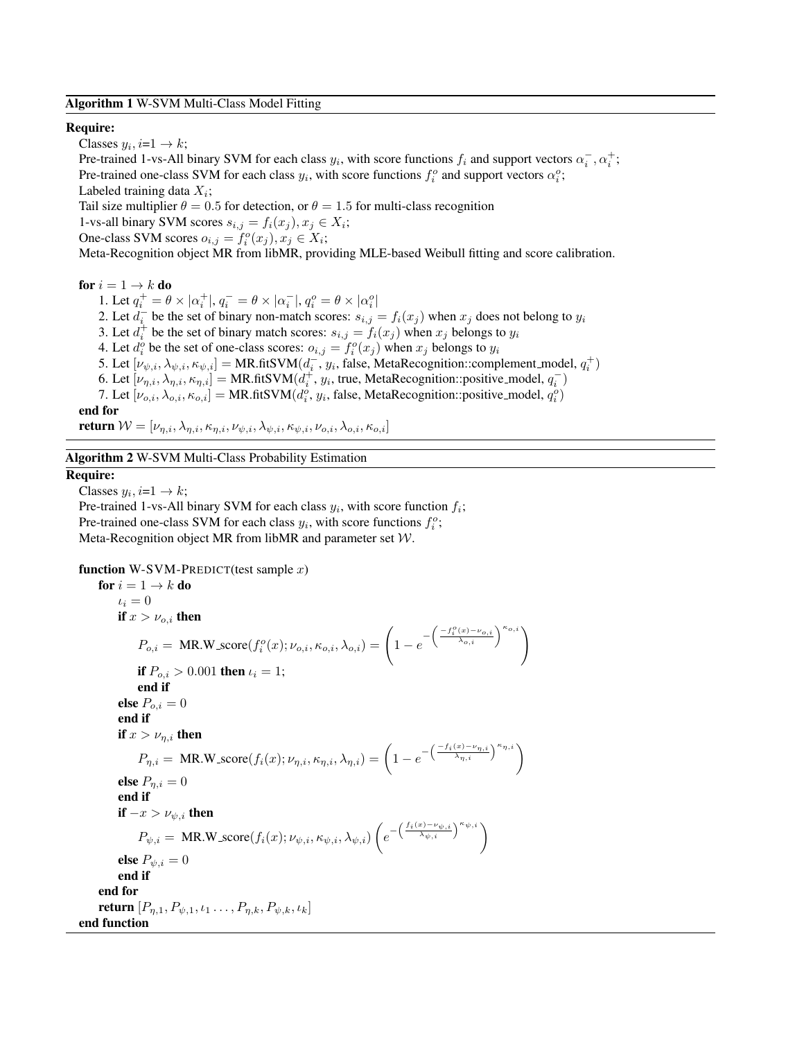Algorithm 1 W-SVM Multi-Class Model Fitting

#### <span id="page-2-0"></span>Require:

Classes  $y_i$ ,  $i=1 \rightarrow k$ ;

Pre-trained 1-vs-All binary SVM for each class  $y_i$ , with score functions  $f_i$  and support vectors  $\alpha_i^-, \alpha_i^+$ ; Pre-trained one-class SVM for each class  $y_i$ , with score functions  $f_i^o$  and support vectors  $\alpha_i^o$ ; Labeled training data  $X_i$ ;

Tail size multiplier  $\theta = 0.5$  for detection, or  $\theta = 1.5$  for multi-class recognition

1-vs-all binary SVM scores  $s_{i,j} = f_i(x_j), x_j \in X_i;$ 

One-class SVM scores  $o_{i,j} = f_i^o(x_j), x_j \in X_i;$ 

Meta-Recognition object MR from libMR, providing MLE-based Weibull fitting and score calibration.

for  $i = 1 \rightarrow k$  do

1. Let  $q_i^+ = \theta \times |\alpha_i^+|, q_i^- = \theta \times |\alpha_i^-|, q_i^o = \theta \times |\alpha_i^o|$ 2. Let  $\overline{d_i}$  be the set of binary non-match scores:  $s_{i,j} = f_i(x_j)$  when  $x_j$  does not belong to  $y_i$ 3. Let  $d_i^+$  be the set of binary match scores:  $s_{i,j} = f_i(x_j)$  when  $x_j$  belongs to  $y_i$ 4. Let  $d_i^o$  be the set of one-class scores:  $o_{i,j} = f_i^o(x_j)$  when  $x_j$  belongs to  $y_i$ 5. Let  $[\nu_{\psi,i}, \lambda_{\psi,i}, \kappa_{\psi,i}] = MR.fitSVM(d_i^-, y_i, false, MetaReception::complement_model, q_i^+)$ 6. Let  $[\nu_{\eta,i}, \lambda_{\eta,i}, \kappa_{\eta,i}] = MR.fitSVM(d_i^+, y_i, true, MetaReognition::positive_model, q_i^-)$ 7. Let  $[\nu_{o,i}, \lambda_{o,i}, \kappa_{o,i}] = MR$ .fitSVM $(d_i^o, y_i)$ , false, MetaRecognition::positive\_model,  $q_i^o$ ) end for return  $W = [\nu_{\eta,i}, \lambda_{\eta,i}, \kappa_{\eta,i}, \nu_{\psi,i}, \lambda_{\psi,i}, \kappa_{\psi,i}, \nu_{o,i}, \lambda_{o,i}, \kappa_{o,i}]$ 

Algorithm 2 W-SVM Multi-Class Probability Estimation

#### <span id="page-2-1"></span>Require:

Classes  $y_i$ ,  $i=1 \rightarrow k$ ;

Pre-trained 1-vs-All binary SVM for each class  $y_i$ , with score function  $f_i$ ; Pre-trained one-class SVM for each class  $y_i$ , with score functions  $f_i^o$ ; Meta-Recognition object MR from libMR and parameter set W.

function W-SVM-PREDICT(test sample  $x$ )

for  $i = 1 \rightarrow k$  do  $\iota_i = 0$ if  $x > \nu_{o,i}$  then  $P_{o,i} = \text{MR.W\_score}(f_i^o(x); \nu_{o,i}, \kappa_{o,i}, \lambda_{o,i}) = \left(1 - e^{-\left(\frac{-f_i^o(x) - \nu_{o,i}}{\lambda_{o,i}}\right)^{\kappa_{o,i}}}\right)$ if  $P_{o,i} > 0.001$  then  $\iota_i = 1$ ; end if else  $P_{o,i} = 0$ end if if  $x > \nu_{\eta,i}$  then  $P_{\eta,i} = \text{MR.W\_score}(f_i(x); \nu_{\eta,i}, \kappa_{\eta,i}, \lambda_{\eta,i}) = \left(1 - e^{-\left(\frac{-f_i(x) - \nu_{\eta,i}}{\lambda_{\eta,i}}\right)^{\kappa_{\eta,i}}}\right)$ else  $P_{\eta,i}=0$ end if if  $-x > \nu_{\psi,i}$  then  $P_{\psi,i} = \text{ MR.W\_score}(f_i(x); \nu_{\psi,i}, \kappa_{\psi,i}, \lambda_{\psi,i}) \left(e^{-\left(\frac{f_i(x) - \nu_{\psi,i}}{\lambda_{\psi,i}}\right)^{\kappa_{\psi,i}}}\right)$ else  $P_{\psi,i}=0$ end if end for **return**  $[P_{n,1}, P_{\psi,1}, \iota_1 \dots, P_{n,k}, P_{\psi,k}, \iota_k]$ end function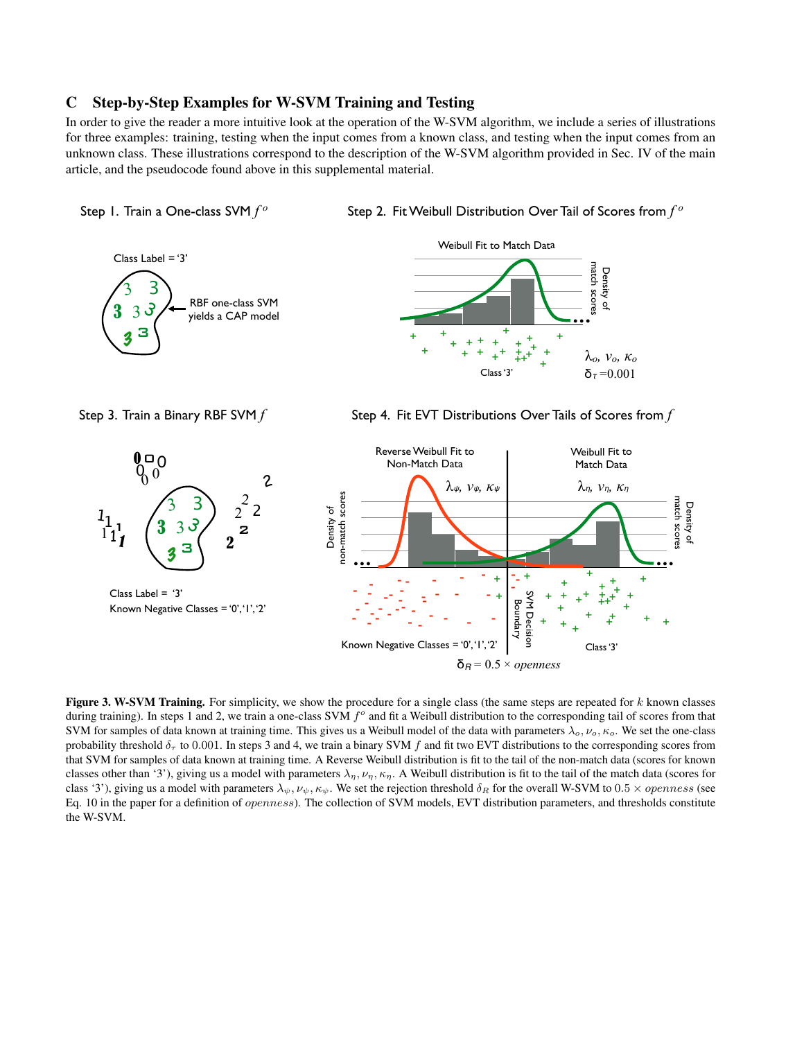## C Step-by-Step Examples for W-SVM Training and Testing

In order to give the reader a more intuitive look at the operation of the W-SVM algorithm, we include a series of illustrations for three examples: training, testing when the input comes from a known class, and testing when the input comes from an unknown class. These illustrations correspond to the description of the W-SVM algorithm provided in Sec. IV of the main article, and the pseudocode found above in this supplemental material.



Step 2. Fit Weibull Distribution Over Tail of Scores from *f o*





Step 3. Train a Binary RBF SVM *f* Step 4. Fit EVT Distributions Over Tails of Scores from *f* 



Figure 3. W-SVM Training. For simplicity, we show the procedure for a single class (the same steps are repeated for  $k$  known classes during training). In steps 1 and 2, we train a one-class SVM  $f^{\circ}$  and fit a Weibull distribution to the corresponding tail of scores from that SVM for samples of data known at training time. This gives us a Weibull model of the data with parameters  $\lambda_o, \nu_o, \kappa_o$ . We set the one-class probability threshold  $\delta_{\tau}$  to 0.001. In steps 3 and 4, we train a binary SVM f and fit two EVT distributions to the corresponding scores from that SVM for samples of data known at training time. A Reverse Weibull distribution is fit to the tail of the non-match data (scores for known classes other than '3'), giving us a model with parameters  $\lambda_{\eta}$ ,  $\nu_{\eta}$ ,  $\kappa_{\eta}$ . A Weibull distribution is fit to the tail of the match data (scores for class '3'), giving us a model with parameters  $\lambda_{\psi}, \nu_{\psi}, \kappa_{\psi}$ . We set the rejection threshold  $\delta_R$  for the overall W-SVM to 0.5  $\times$  openness (see Eq. 10 in the paper for a definition of openness). The collection of SVM models, EVT distribution parameters, and thresholds constitute the W-SVM.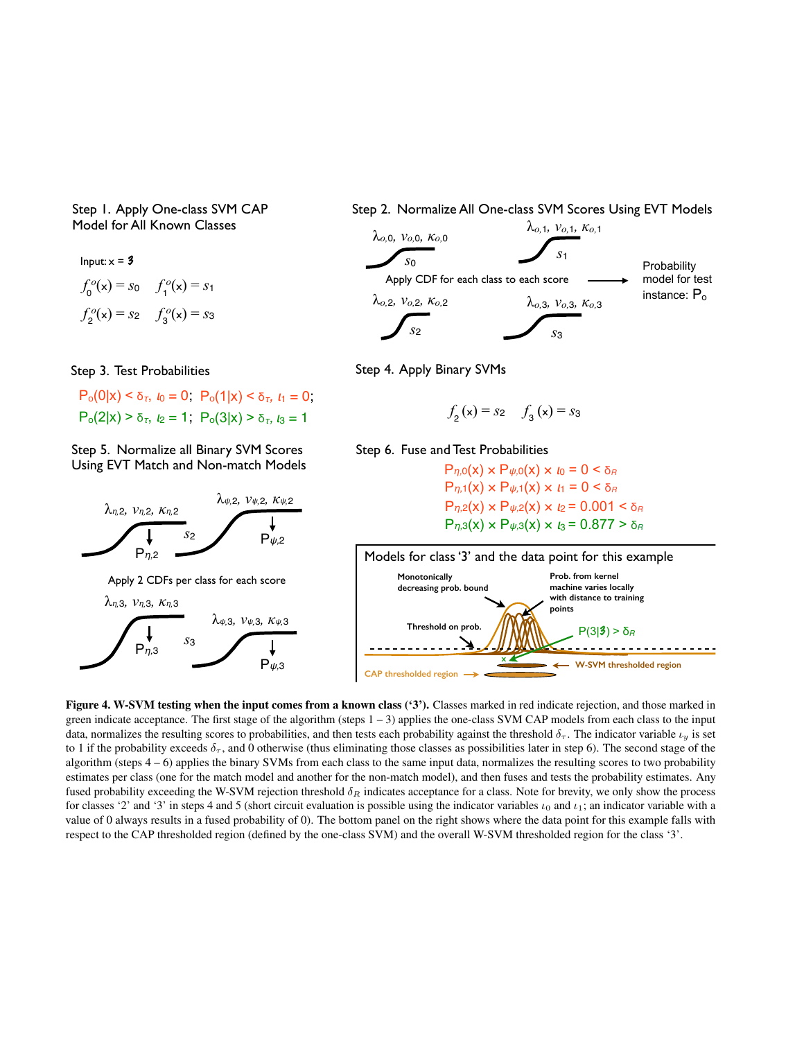Step 1. Apply One-class SVM CAP Model for All Known Classes

 $f_0^o(\mathbf{x}) = s_0 \quad f_1^o(\mathbf{x}) = s_1$ Input:  $x = 3$  $f_2^o(x) = s_2$   $f_2^o(x) = s_3$ 

 $P_0(0|x) < δ_τ, t_0 = 0$ ,  $P_0(1|x) < δ_τ, t_1 = 0$ ;  $P_0(2|x) > δ_τ, t_2 = 1$ ;  $P_0(3|x) > δ_τ, t_3 = 1$ 

Step 5. Normalize all Binary SVM Scores Using EVT Match and Non-match Models



Apply 2 CDFs per class for each score



Step 2. Normalize All One-class SVM Scores Using EVT Models



Step 3. Test Probabilities Step 4. Apply Binary SVMs

$$
f_2(x) = s_2
$$
  $f_3(x) = s_3$ 

Step 6. Fuse and Test Probabilities

 $P_{η,2}(x) \times P_{ψ,2}(x) \times l_2 = 0.001 < δ_R$  $P_{η,3}(x) \times P_{ψ,3}(x) \times I_3 = 0.877 > δ_R$  $P_{η,0}(x) \times P_{ψ,0}(x) \times l_0 = 0 < δ_R$  $P_{n,1}(x) \times P_{\psi,1}(x) \times I_1 = 0 \leq \delta_R$ 



<span id="page-4-0"></span>Figure 4. W-SVM testing when the input comes from a known class ('3'). Classes marked in red indicate rejection, and those marked in green indicate acceptance. The first stage of the algorithm (steps  $1 - 3$ ) applies the one-class SVM CAP models from each class to the input data, normalizes the resulting scores to probabilities, and then tests each probability against the threshold  $\delta_{\tau}$ . The indicator variable  $\iota_{\nu}$  is set to 1 if the probability exceeds  $\delta_{\tau}$ , and 0 otherwise (thus eliminating those classes as possibilities later in step 6). The second stage of the algorithm (steps 4 – 6) applies the binary SVMs from each class to the same input data, normalizes the resulting scores to two probability estimates per class (one for the match model and another for the non-match model), and then fuses and tests the probability estimates. Any fused probability exceeding the W-SVM rejection threshold  $\delta_R$  indicates acceptance for a class. Note for brevity, we only show the process for classes '2' and '3' in steps 4 and 5 (short circuit evaluation is possible using the indicator variables  $\iota_0$  and  $\iota_1$ ; an indicator variable with a value of 0 always results in a fused probability of 0). The bottom panel on the right shows where the data point for this example falls with respect to the CAP thresholded region (defined by the one-class SVM) and the overall W-SVM thresholded region for the class '3'.